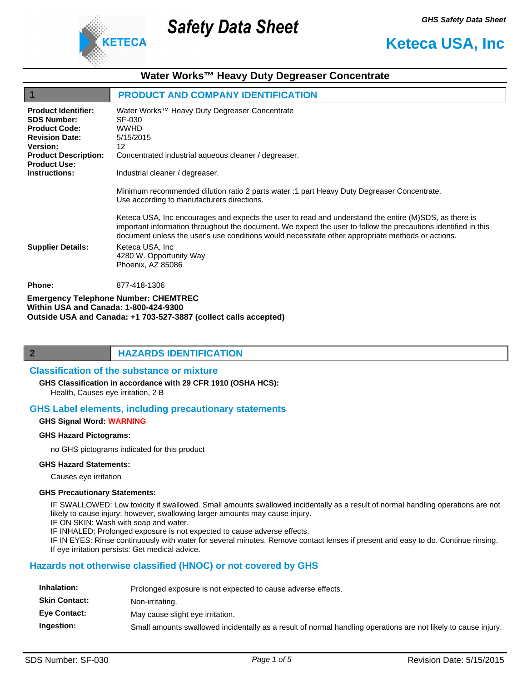

# **Water Works™ Heavy Duty Degreaser Concentrate**

Safety Data Sheet

|                                                                                                                                                     | <b>PRODUCT AND COMPANY IDENTIFICATION</b>                                                                                                                                                                                                                                                                                    |
|-----------------------------------------------------------------------------------------------------------------------------------------------------|------------------------------------------------------------------------------------------------------------------------------------------------------------------------------------------------------------------------------------------------------------------------------------------------------------------------------|
| <b>Product Identifier:</b><br><b>SDS Number:</b><br><b>Product Code:</b><br><b>Revision Date:</b><br><b>Version:</b><br><b>Product Description:</b> | Water Works™ Heavy Duty Degreaser Concentrate<br>SF-030<br><b>WWHD</b><br>5/15/2015<br>12<br>Concentrated industrial aqueous cleaner / degreaser.                                                                                                                                                                            |
| <b>Product Use:</b><br><b>Instructions:</b>                                                                                                         | Industrial cleaner / degreaser.                                                                                                                                                                                                                                                                                              |
|                                                                                                                                                     | Minimum recommended dilution ratio 2 parts water :1 part Heavy Duty Degreaser Concentrate.<br>Use according to manufacturers directions.                                                                                                                                                                                     |
|                                                                                                                                                     | Keteca USA, Inc encourages and expects the user to read and understand the entire (M)SDS, as there is<br>important information throughout the document. We expect the user to follow the precautions identified in this<br>document unless the user's use conditions would necessitate other appropriate methods or actions. |
| <b>Supplier Details:</b>                                                                                                                            | Keteca USA, Inc.<br>4280 W. Opportunity Way<br>Phoenix, AZ 85086                                                                                                                                                                                                                                                             |
| <b>Phone:</b>                                                                                                                                       | 877-418-1306                                                                                                                                                                                                                                                                                                                 |
| $M/LLLL = LCA \sim LCA$                                                                                                                             | <b>Emergency Telephone Number: CHEMTREC</b>                                                                                                                                                                                                                                                                                  |

**Within USA and Canada: 1-800-424-9300 Outside USA and Canada: +1 703-527-3887 (collect calls accepted)** 



#### **Classification of the substance or mixture**

Health, Causes eye irritation, 2 B **GHS Classification in accordance with 29 CFR 1910 (OSHA HCS):**

## **GHS Label elements, including precautionary statements**

#### **GHS Signal Word: WARNING**

#### **GHS Hazard Pictograms:**

no GHS pictograms indicated for this product

#### **GHS Hazard Statements:**

Causes eye irritation

#### **GHS Precautionary Statements:**

IF SWALLOWED: Low toxicity if swallowed. Small amounts swallowed incidentally as a result of normal handling operations are not likely to cause injury; however, swallowing larger amounts may cause injury.

IF ON SKIN: Wash with soap and water.

IF INHALED: Prolonged exposure is not expected to cause adverse effects.

IF IN EYES: Rinse continuously with water for several minutes. Remove contact lenses if present and easy to do. Continue rinsing. If eye irritation persists: Get medical advice.

# **Hazards not otherwise classified (HNOC) or not covered by GHS**

| Inhalation:          | Prolonged exposure is not expected to cause adverse effects.                                                   |
|----------------------|----------------------------------------------------------------------------------------------------------------|
| <b>Skin Contact:</b> | Non-irritating.                                                                                                |
| <b>Eve Contact:</b>  | May cause slight eye irritation.                                                                               |
| Ingestion:           | Small amounts swallowed incidentally as a result of normal handling operations are not likely to cause injury. |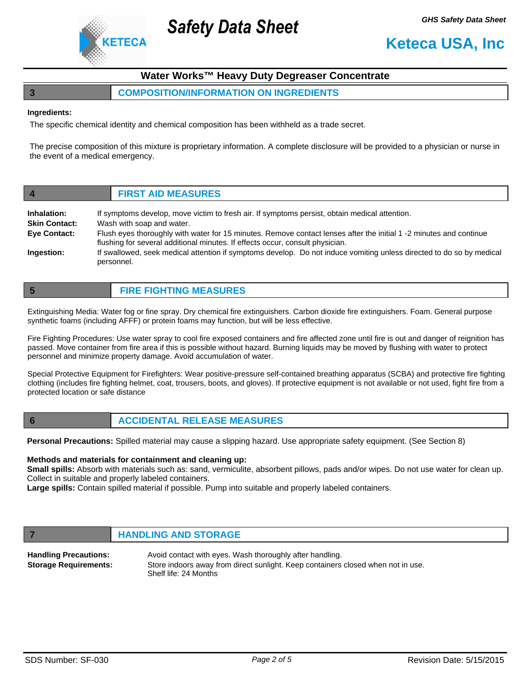

# **Water Works™ Heavy Duty Degreaser Concentrate**

## **3 COMPOSITION/INFORMATION ON INGREDIENTS**

Safety Data Sheet

#### **Ingredients:**

The specific chemical identity and chemical composition has been withheld as a trade secret.

The precise composition of this mixture is proprietary information. A complete disclosure will be provided to a physician or nurse in the event of a medical emergency.

| $\overline{\mathbf{4}}$             | <b>FIRST AID MEASURES</b>                                                                                                                                                                           |
|-------------------------------------|-----------------------------------------------------------------------------------------------------------------------------------------------------------------------------------------------------|
| Inhalation:<br><b>Skin Contact:</b> | If symptoms develop, move victim to fresh air. If symptoms persist, obtain medical attention.<br>Wash with soap and water.                                                                          |
| <b>Eye Contact:</b>                 | Flush eyes thoroughly with water for 15 minutes. Remove contact lenses after the initial 1 -2 minutes and continue<br>flushing for several additional minutes. If effects occur, consult physician. |
| Ingestion:                          | If swallowed, seek medical attention if symptoms develop. Do not induce vomiting unless directed to do so by medical<br>personnel.                                                                  |

| <b>FIRE FIGHTING MEASURES</b> |
|-------------------------------|
|                               |

Extinguishing Media: Water fog or fine spray. Dry chemical fire extinguishers. Carbon dioxide fire extinguishers. Foam. General purpose synthetic foams (including AFFF) or protein foams may function, but will be less effective.

Fire Fighting Procedures: Use water spray to cool fire exposed containers and fire affected zone until fire is out and danger of reignition has passed. Move container from fire area if this is possible without hazard. Burning liquids may be moved by flushing with water to protect personnel and minimize property damage. Avoid accumulation of water.

Special Protective Equipment for Firefighters: Wear positive-pressure self-contained breathing apparatus (SCBA) and protective fire fighting clothing (includes fire fighting helmet, coat, trousers, boots, and gloves). If protective equipment is not available or not used, fight fire from a protected location or safe distance

# **6 ACCIDENTAL RELEASE MEASURES**

**Personal Precautions:** Spilled material may cause a slipping hazard. Use appropriate safety equipment. (See Section 8)

#### **Methods and materials for containment and cleaning up:**

**Small spills:** Absorb with materials such as: sand, vermiculite, absorbent pillows, pads and/or wipes. Do not use water for clean up. Collect in suitable and properly labeled containers.

**Large spills:** Contain spilled material if possible. Pump into suitable and properly labeled containers.

## **FIGURE 12 IN STORAGE**

Avoid contact with eyes. Wash thoroughly after handling. Store indoors away from direct sunlight. Keep containers closed when not in use. Shelf life: 24 Months **Handling Precautions: Storage Requirements:**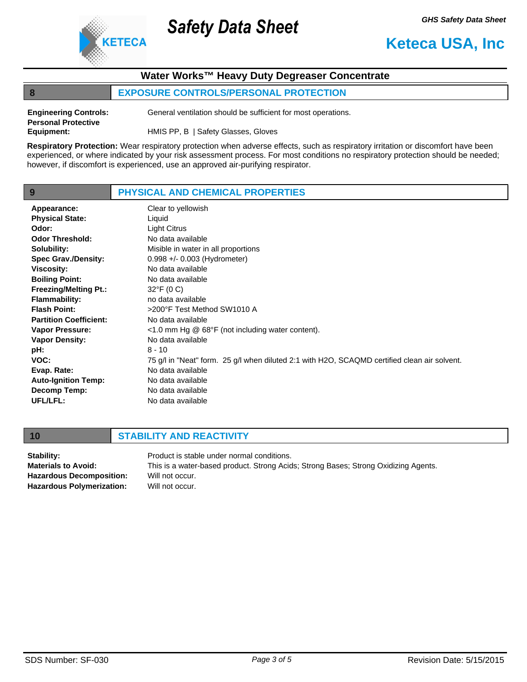

# **Water Works™ Heavy Duty Degreaser Concentrate**

# **8 EXPOSURE CONTROLS/PERSONAL PROTECTION**

Safety Data Sheet

| <b>Engineering Controls:</b> | General ventilation should be sufficient for most operations. |
|------------------------------|---------------------------------------------------------------|
| <b>Personal Protective</b>   |                                                               |
| Equipment:                   | HMIS PP, B   Safety Glasses, Gloves                           |

**Respiratory Protection:** Wear respiratory protection when adverse effects, such as respiratory irritation or discomfort have been experienced, or where indicated by your risk assessment process. For most conditions no respiratory protection should be needed; however, if discomfort is experienced, use an approved air-purifying respirator.

| 9                             | PHYSICAL AND CHEMICAL PROPERTIES                                                             |
|-------------------------------|----------------------------------------------------------------------------------------------|
| Appearance:                   | Clear to yellowish                                                                           |
| <b>Physical State:</b>        | Liquid                                                                                       |
| Odor:                         | Light Citrus                                                                                 |
| <b>Odor Threshold:</b>        | No data available                                                                            |
| Solubility:                   | Misible in water in all proportions                                                          |
| <b>Spec Grav./Density:</b>    | 0.998 +/- 0.003 (Hydrometer)                                                                 |
| <b>Viscosity:</b>             | No data available                                                                            |
| <b>Boiling Point:</b>         | No data available                                                                            |
| <b>Freezing/Melting Pt.:</b>  | $32^{\circ}$ F (0 C)                                                                         |
| <b>Flammability:</b>          | no data available                                                                            |
| <b>Flash Point:</b>           | >200°F Test Method SW1010 A                                                                  |
| <b>Partition Coefficient:</b> | No data available                                                                            |
| <b>Vapor Pressure:</b>        | $<$ 1.0 mm Hg $\circledcirc$ 68°F (not including water content).                             |
| <b>Vapor Density:</b>         | No data available                                                                            |
| pH:                           | $8 - 10$                                                                                     |
| VOC:                          | 75 g/l in "Neat" form. 25 g/l when diluted 2:1 with H2O, SCAQMD certified clean air solvent. |
| Evap. Rate:                   | No data available                                                                            |
| <b>Auto-Ignition Temp:</b>    | No data available                                                                            |
| Decomp Temp:                  | No data available                                                                            |
| UFL/LFL:                      | No data available                                                                            |

# **10 STABILITY AND REACTIVITY**

| Stability:                       | Product is stable under normal conditions.                                          |
|----------------------------------|-------------------------------------------------------------------------------------|
| <b>Materials to Avoid:</b>       | This is a water-based product. Strong Acids; Strong Bases; Strong Oxidizing Agents. |
| <b>Hazardous Decomposition:</b>  | Will not occur.                                                                     |
| <b>Hazardous Polymerization:</b> | Will not occur.                                                                     |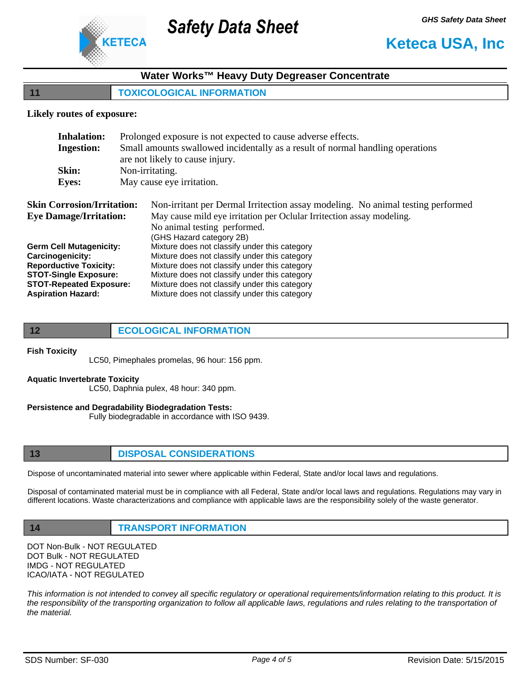

# **Water Works™ Heavy Duty Degreaser Concentrate**

Safety Data Sheet

**11 TOXICOLOGICAL INFORMATION**

### **Likely routes of exposure:**

| <b>Inhalation:</b>                | Prolonged exposure is not expected to cause adverse effects.                    |  |
|-----------------------------------|---------------------------------------------------------------------------------|--|
| <b>Ingestion:</b>                 | Small amounts swallowed incidentally as a result of normal handling operations  |  |
|                                   | are not likely to cause injury.                                                 |  |
| Skin:                             | Non-irritating.                                                                 |  |
| <b>Eyes:</b>                      | May cause eye irritation.                                                       |  |
|                                   |                                                                                 |  |
| <b>Skin Corrosion/Irritation:</b> | Non-irritant per Dermal Irritection assay modeling. No animal testing performed |  |
| <b>Eye Damage/Irritation:</b>     | May cause mild eye irritation per Oclular Irritection assay modeling.           |  |
|                                   | No animal testing performed.                                                    |  |
|                                   | (GHS Hazard category 2B)                                                        |  |
| <b>Germ Cell Mutagenicity:</b>    | Mixture does not classify under this category                                   |  |
| Carcinogenicity:                  | Mixture does not classify under this category                                   |  |
| <b>Reporductive Toxicity:</b>     | Mixture does not classify under this category                                   |  |
| <b>STOT-Single Exposure:</b>      | Mixture does not classify under this category                                   |  |
| <b>STOT-Repeated Exposure:</b>    | Mixture does not classify under this category                                   |  |
| <b>Aspiration Hazard:</b>         | Mixture does not classify under this category                                   |  |

#### **Fish Toxicity**

LC50, Pimephales promelas, 96 hour: 156 ppm.

#### **Aquatic Invertebrate Toxicity**

LC50, Daphnia pulex, 48 hour: 340 ppm.

## **Persistence and Degradability Biodegradation Tests:**

Fully biodegradable in accordance with ISO 9439.

## **13 DISPOSAL CONSIDERATIONS**

Dispose of uncontaminated material into sewer where applicable within Federal, State and/or local laws and regulations.

Disposal of contaminated material must be in compliance with all Federal, State and/or local laws and regulations. Regulations may vary in different locations. Waste characterizations and compliance with applicable laws are the responsibility solely of the waste generator.

## **14 TRANSPORT INFORMATION**

DOT Non-Bulk - NOT REGULATED DOT Bulk - NOT REGULATED IMDG - NOT REGULATED ICAO/IATA - NOT REGULATED

*This information is not intended to convey all specific regulatory or operational requirements/information relating to this product. It is the responsibility of the transporting organization to follow all applicable laws, regulations and rules relating to the transportation of the material.*